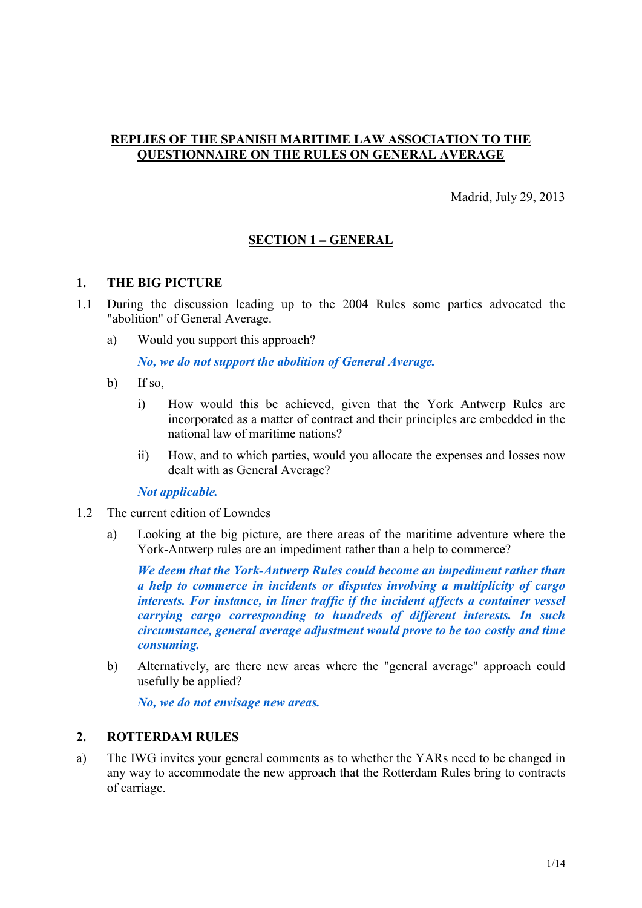# **REPLIES OF THE SPANISH MARITIME LAW ASSOCIATION TO THE QUESTIONNAIRE ON THE RULES ON GENERAL AVERAGE**

Madrid, July 29, 2013

# **SECTION 1 – GENERAL**

#### **1. THE BIG PICTURE**

- 1.1 During the discussion leading up to the 2004 Rules some parties advocated the "abolition" of General Average.
	- a) Would you support this approach?

*No, we do not support the abolition of General Average.*

- b) If so,
	- i) How would this be achieved, given that the York Antwerp Rules are incorporated as a matter of contract and their principles are embedded in the national law of maritime nations?
	- ii) How, and to which parties, would you allocate the expenses and losses now dealt with as General Average?

*Not applicable.*

- 1.2 The current edition of Lowndes
	- a) Looking at the big picture, are there areas of the maritime adventure where the York-Antwerp rules are an impediment rather than a help to commerce?

*We deem that the York-Antwerp Rules could become an impediment rather than a help to commerce in incidents or disputes involving a multiplicity of cargo interests. For instance, in liner traffic if the incident affects a container vessel carrying cargo corresponding to hundreds of different interests. In such circumstance, general average adjustment would prove to be too costly and time consuming.*

b) Alternatively, are there new areas where the "general average" approach could usefully be applied?

*No, we do not envisage new areas.*

### **2. ROTTERDAM RULES**

a) The IWG invites your general comments as to whether the YARs need to be changed in any way to accommodate the new approach that the Rotterdam Rules bring to contracts of carriage.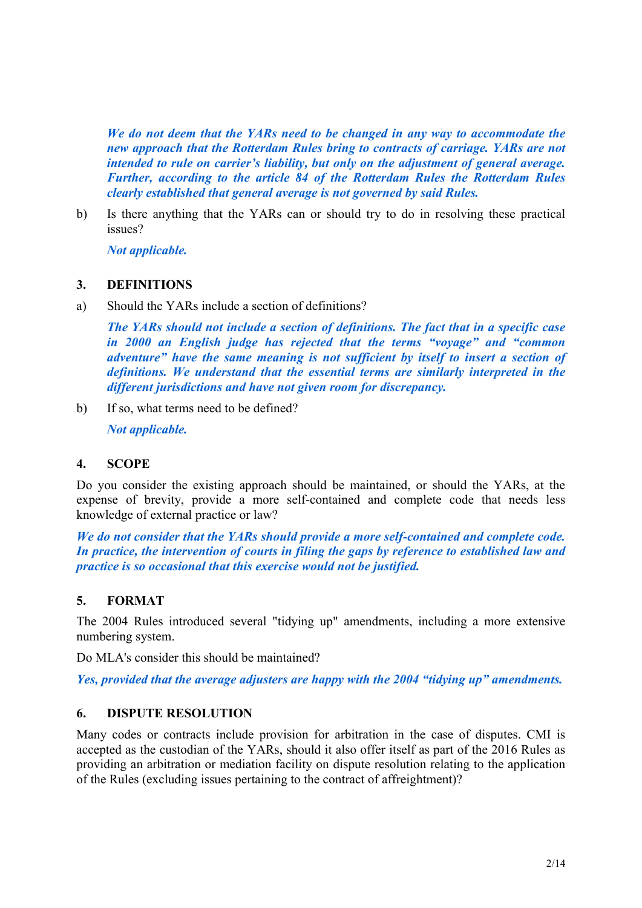*We do not deem that the YARs need to be changed in any way to accommodate the new approach that the Rotterdam Rules bring to contracts of carriage. YARs are not intended to rule on carrier's liability, but only on the adjustment of general average. Further, according to the article 84 of the Rotterdam Rules the Rotterdam Rules clearly established that general average is not governed by said Rules.*

b) Is there anything that the YARs can or should try to do in resolving these practical issues?

*Not applicable.*

### **3. DEFINITIONS**

a) Should the YARs include a section of definitions?

*The YARs should not include a section of definitions. The fact that in a specific case in 2000 an English judge has rejected that the terms "voyage" and "common adventure" have the same meaning is not sufficient by itself to insert a section of definitions. We understand that the essential terms are similarly interpreted in the different jurisdictions and have not given room for discrepancy.*

b) If so, what terms need to be defined?

*Not applicable.*

# **4. SCOPE**

Do you consider the existing approach should be maintained, or should the YARs, at the expense of brevity, provide a more self-contained and complete code that needs less knowledge of external practice or law?

*We do not consider that the YARs should provide a more self-contained and complete code. In practice, the intervention of courts in filing the gaps by reference to established law and practice is so occasional that this exercise would not be justified.*

# **5. FORMAT**

The 2004 Rules introduced several "tidying up" amendments, including a more extensive numbering system.

Do MLA's consider this should be maintained?

*Yes, provided that the average adjusters are happy with the 2004 "tidying up" amendments.*

# **6. DISPUTE RESOLUTION**

Many codes or contracts include provision for arbitration in the case of disputes. CMI is accepted as the custodian of the YARs, should it also offer itself as part of the 2016 Rules as providing an arbitration or mediation facility on dispute resolution relating to the application of the Rules (excluding issues pertaining to the contract of affreightment)?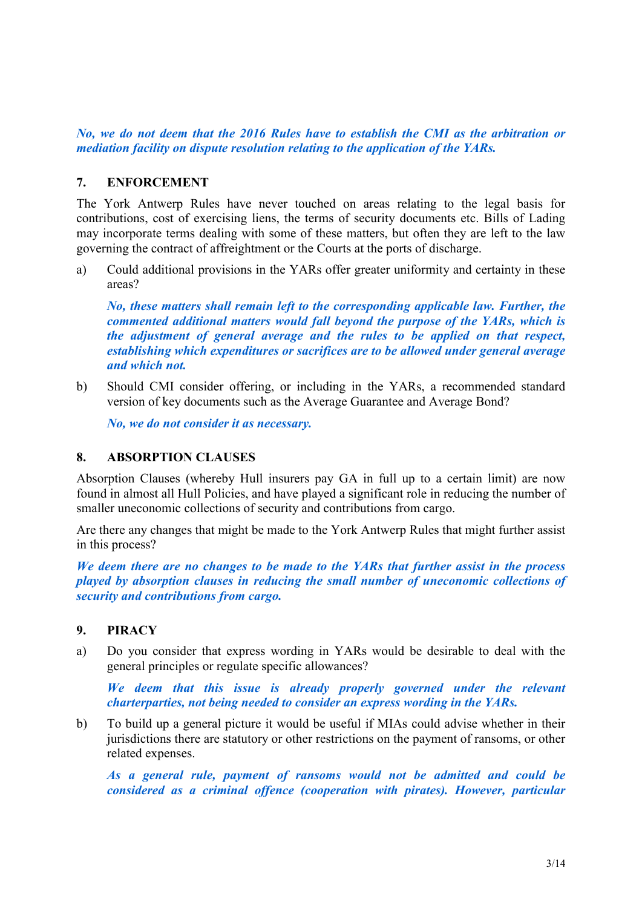*No, we do not deem that the 2016 Rules have to establish the CMI as the arbitration or mediation facility on dispute resolution relating to the application of the YARs.*

# **7. ENFORCEMENT**

The York Antwerp Rules have never touched on areas relating to the legal basis for contributions, cost of exercising liens, the terms of security documents etc. Bills of Lading may incorporate terms dealing with some of these matters, but often they are left to the law governing the contract of affreightment or the Courts at the ports of discharge.

a) Could additional provisions in the YARs offer greater uniformity and certainty in these areas?

*No, these matters shall remain left to the corresponding applicable law. Further, the commented additional matters would fall beyond the purpose of the YARs, which is the adjustment of general average and the rules to be applied on that respect, establishing which expenditures or sacrifices are to be allowed under general average and which not.*

b) Should CMI consider offering, or including in the YARs, a recommended standard version of key documents such as the Average Guarantee and Average Bond?

*No, we do not consider it as necessary.*

### **8. ABSORPTION CLAUSES**

Absorption Clauses (whereby Hull insurers pay GA in full up to a certain limit) are now found in almost all Hull Policies, and have played a significant role in reducing the number of smaller uneconomic collections of security and contributions from cargo.

Are there any changes that might be made to the York Antwerp Rules that might further assist in this process?

*We deem there are no changes to be made to the YARs that further assist in the process played by absorption clauses in reducing the small number of uneconomic collections of security and contributions from cargo.*

#### **9. PIRACY**

a) Do you consider that express wording in YARs would be desirable to deal with the general principles or regulate specific allowances?

*We deem that this issue is already properly governed under the relevant charterparties, not being needed to consider an express wording in the YARs.*

b) To build up a general picture it would be useful if MIAs could advise whether in their jurisdictions there are statutory or other restrictions on the payment of ransoms, or other related expenses.

*As a general rule, payment of ransoms would not be admitted and could be considered as a criminal offence (cooperation with pirates). However, particular*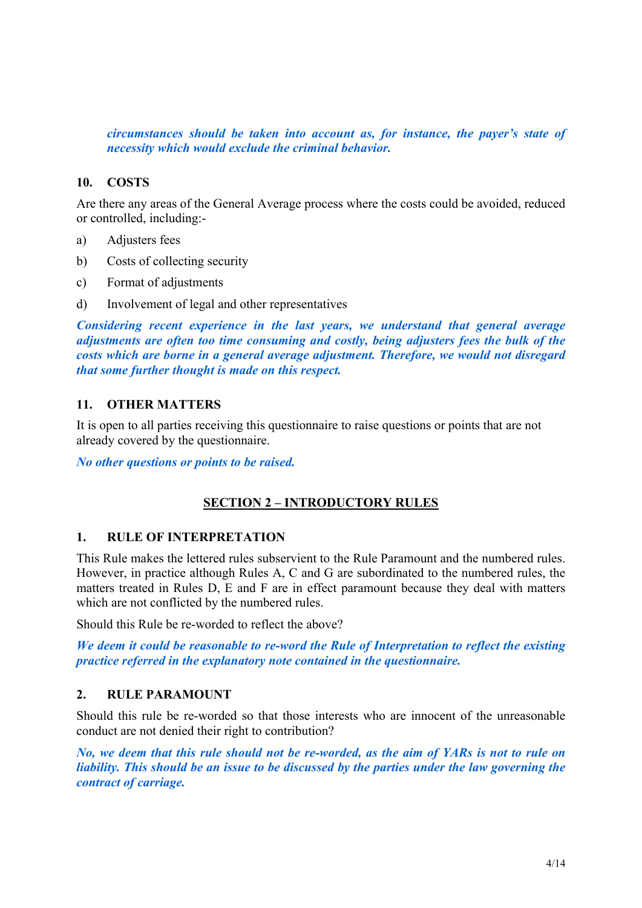*circumstances should be taken into account as, for instance, the payer's state of necessity which would exclude the criminal behavior.*

## **10. COSTS**

Are there any areas of the General Average process where the costs could be avoided, reduced or controlled, including:-

- a) Adjusters fees
- b) Costs of collecting security
- c) Format of adjustments
- d) Involvement of legal and other representatives

*Considering recent experience in the last years, we understand that general average adjustments are often too time consuming and costly, being adjusters fees the bulk of the costs which are borne in a general average adjustment. Therefore, we would not disregard that some further thought is made on this respect.*

#### **11. OTHER MATTERS**

It is open to all parties receiving this questionnaire to raise questions or points that are not already covered by the questionnaire.

*No other questions or points to be raised.*

# **SECTION 2 – INTRODUCTORY RULES**

#### **1. RULE OF INTERPRETATION**

This Rule makes the lettered rules subservient to the Rule Paramount and the numbered rules. However, in practice although Rules A, C and G are subordinated to the numbered rules, the matters treated in Rules D, E and F are in effect paramount because they deal with matters which are not conflicted by the numbered rules.

Should this Rule be re-worded to reflect the above?

*We deem it could be reasonable to re-word the Rule of Interpretation to reflect the existing practice referred in the explanatory note contained in the questionnaire.*

#### **2. RULE PARAMOUNT**

Should this rule be re-worded so that those interests who are innocent of the unreasonable conduct are not denied their right to contribution?

*No, we deem that this rule should not be re-worded, as the aim of YARs is not to rule on liability. This should be an issue to be discussed by the parties under the law governing the contract of carriage.*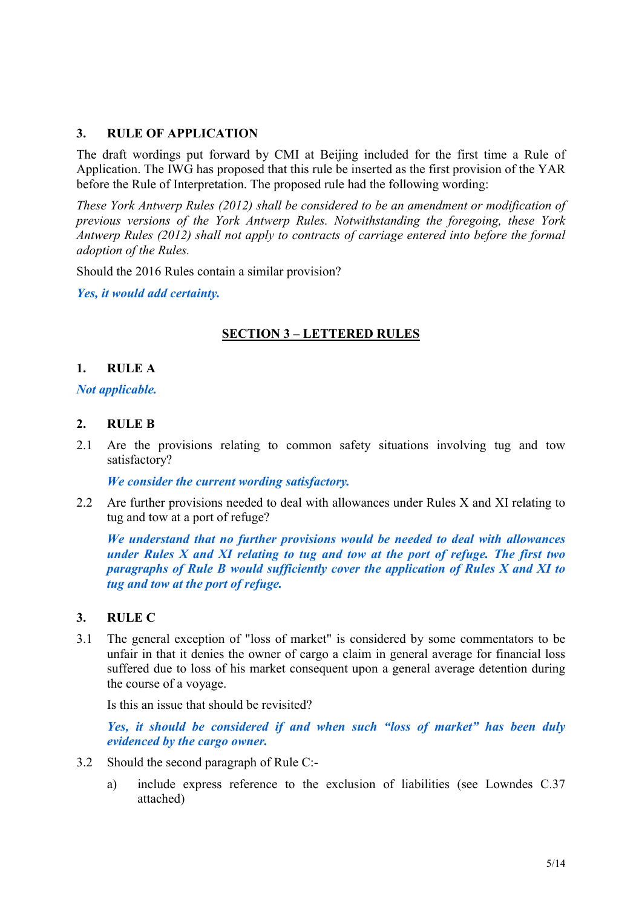## **3. RULE OF APPLICATION**

The draft wordings put forward by CMI at Beijing included for the first time a Rule of Application. The IWG has proposed that this rule be inserted as the first provision of the YAR before the Rule of Interpretation. The proposed rule had the following wording:

*These York Antwerp Rules (2012) shall be considered to be an amendment or modification of previous versions of the York Antwerp Rules. Notwithstanding the foregoing, these York Antwerp Rules (2012) shall not apply to contracts of carriage entered into before the formal adoption of the Rules.*

Should the 2016 Rules contain a similar provision?

*Yes, it would add certainty.*

# **SECTION 3 – LETTERED RULES**

### **1. RULE A**

#### *Not applicable.*

#### **2. RULE B**

2.1 Are the provisions relating to common safety situations involving tug and tow satisfactory?

*We consider the current wording satisfactory.*

2.2 Are further provisions needed to deal with allowances under Rules X and XI relating to tug and tow at a port of refuge?

*We understand that no further provisions would be needed to deal with allowances under Rules X and XI relating to tug and tow at the port of refuge. The first two paragraphs of Rule B would sufficiently cover the application of Rules X and XI to tug and tow at the port of refuge.*

#### **3. RULE C**

3.1 The general exception of "loss of market" is considered by some commentators to be unfair in that it denies the owner of cargo a claim in general average for financial loss suffered due to loss of his market consequent upon a general average detention during the course of a voyage.

Is this an issue that should be revisited?

*Yes, it should be considered if and when such "loss of market" has been duly evidenced by the cargo owner.*

- 3.2 Should the second paragraph of Rule C:
	- a) include express reference to the exclusion of liabilities (see Lowndes C.37 attached)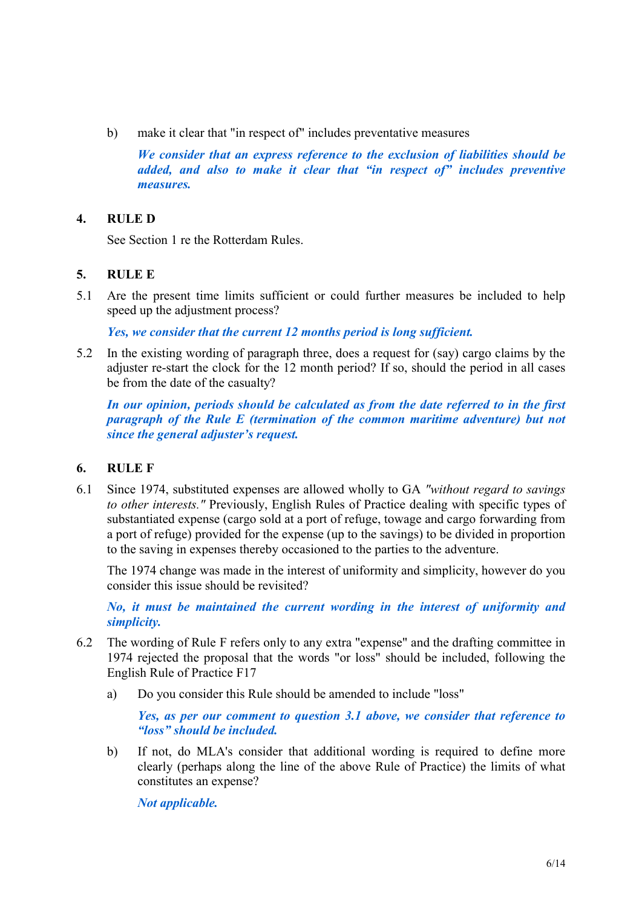b) make it clear that "in respect of" includes preventative measures

*We consider that an express reference to the exclusion of liabilities should be added, and also to make it clear that "in respect of" includes preventive measures.*

# **4. RULE D**

See Section 1 re the Rotterdam Rules.

# **5. RULE E**

5.1 Are the present time limits sufficient or could further measures be included to help speed up the adjustment process?

*Yes, we consider that the current 12 months period is long sufficient.*

5.2 In the existing wording of paragraph three, does a request for (say) cargo claims by the adjuster re-start the clock for the 12 month period? If so, should the period in all cases be from the date of the casualty?

*In our opinion, periods should be calculated as from the date referred to in the first paragraph of the Rule E (termination of the common maritime adventure) but not since the general adjuster's request.*

# **6. RULE F**

6.1 Since 1974, substituted expenses are allowed wholly to GA *"without regard to savings to other interests."* Previously, English Rules of Practice dealing with specific types of substantiated expense (cargo sold at a port of refuge, towage and cargo forwarding from a port of refuge) provided for the expense (up to the savings) to be divided in proportion to the saving in expenses thereby occasioned to the parties to the adventure.

The 1974 change was made in the interest of uniformity and simplicity, however do you consider this issue should be revisited?

*No, it must be maintained the current wording in the interest of uniformity and simplicity.*

- 6.2 The wording of Rule F refers only to any extra "expense" and the drafting committee in 1974 rejected the proposal that the words "or loss" should be included, following the English Rule of Practice F17
	- a) Do you consider this Rule should be amended to include "loss"

*Yes, as per our comment to question 3.1 above, we consider that reference to "loss" should be included.*

b) If not, do MLA's consider that additional wording is required to define more clearly (perhaps along the line of the above Rule of Practice) the limits of what constitutes an expense?

*Not applicable.*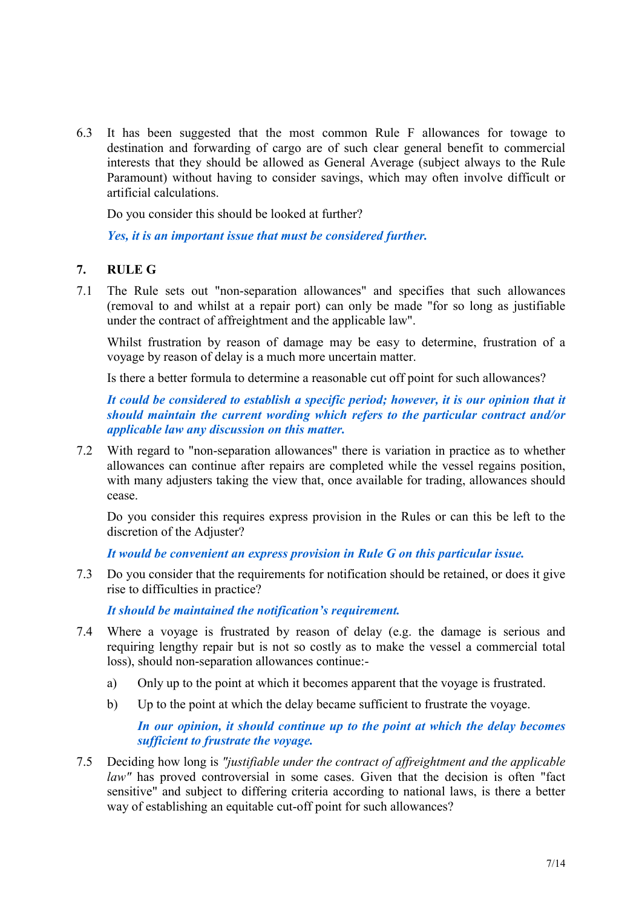6.3 It has been suggested that the most common Rule F allowances for towage to destination and forwarding of cargo are of such clear general benefit to commercial interests that they should be allowed as General Average (subject always to the Rule Paramount) without having to consider savings, which may often involve difficult or artificial calculations.

Do you consider this should be looked at further?

*Yes, it is an important issue that must be considered further.*

### **7. RULE G**

7.1 The Rule sets out "non-separation allowances" and specifies that such allowances (removal to and whilst at a repair port) can only be made "for so long as justifiable under the contract of affreightment and the applicable law".

Whilst frustration by reason of damage may be easy to determine, frustration of a voyage by reason of delay is a much more uncertain matter.

Is there a better formula to determine a reasonable cut off point for such allowances?

*It could be considered to establish a specific period; however, it is our opinion that it should maintain the current wording which refers to the particular contract and/or applicable law any discussion on this matter.*

7.2 With regard to "non-separation allowances" there is variation in practice as to whether allowances can continue after repairs are completed while the vessel regains position, with many adjusters taking the view that, once available for trading, allowances should cease.

Do you consider this requires express provision in the Rules or can this be left to the discretion of the Adjuster?

*It would be convenient an express provision in Rule G on this particular issue.*

7.3 Do you consider that the requirements for notification should be retained, or does it give rise to difficulties in practice?

*It should be maintained the notification's requirement.*

- 7.4 Where a voyage is frustrated by reason of delay (e.g. the damage is serious and requiring lengthy repair but is not so costly as to make the vessel a commercial total loss), should non-separation allowances continue:
	- a) Only up to the point at which it becomes apparent that the voyage is frustrated.
	- b) Up to the point at which the delay became sufficient to frustrate the voyage.

*In our opinion, it should continue up to the point at which the delay becomes sufficient to frustrate the voyage.*

7.5 Deciding how long is *"justifiable under the contract of affreightment and the applicable law*" has proved controversial in some cases. Given that the decision is often "fact" sensitive" and subject to differing criteria according to national laws, is there a better way of establishing an equitable cut-off point for such allowances?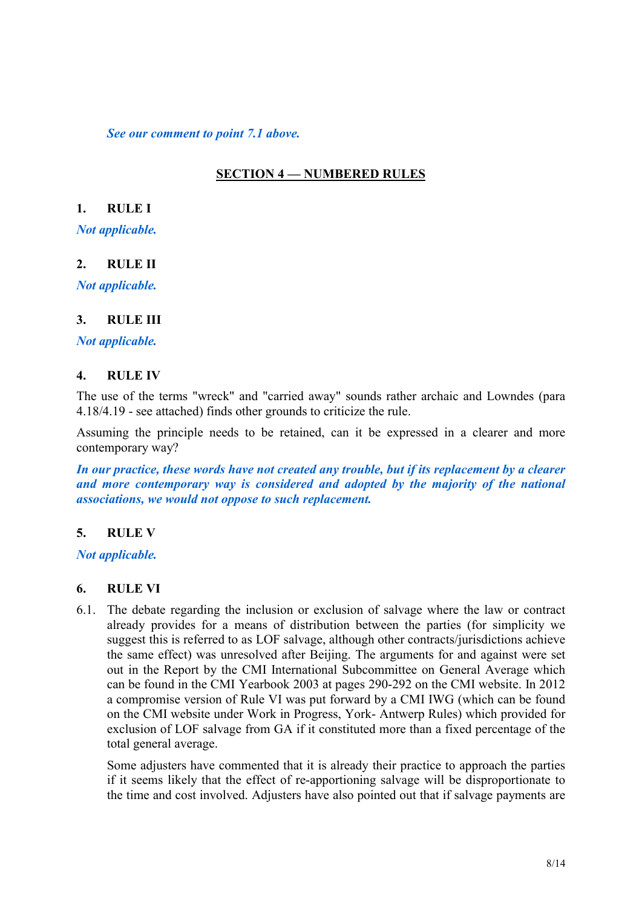*See our comment to point 7.1 above.*

# **SECTION 4 — NUMBERED RULES**

### **1. RULE I**

*Not applicable.*

# **2. RULE II**

*Not applicable.*

#### **3. RULE III**

*Not applicable.*

### **4. RULE IV**

The use of the terms "wreck" and "carried away" sounds rather archaic and Lowndes (para 4.18/4.19 - see attached) finds other grounds to criticize the rule.

Assuming the principle needs to be retained, can it be expressed in a clearer and more contemporary way?

*In our practice, these words have not created any trouble, but if its replacement by a clearer and more contemporary way is considered and adopted by the majority of the national associations, we would not oppose to such replacement.*

# **5. RULE V**

*Not applicable.*

#### **6. RULE VI**

6.1. The debate regarding the inclusion or exclusion of salvage where the law or contract already provides for a means of distribution between the parties (for simplicity we suggest this is referred to as LOF salvage, although other contracts/jurisdictions achieve the same effect) was unresolved after Beijing. The arguments for and against were set out in the Report by the CMI International Subcommittee on General Average which can be found in the CMI Yearbook 2003 at pages 290-292 on the CMI website. In 2012 a compromise version of Rule VI was put forward by a CMI IWG (which can be found on the CMI website under Work in Progress, York- Antwerp Rules) which provided for exclusion of LOF salvage from GA if it constituted more than a fixed percentage of the total general average.

Some adjusters have commented that it is already their practice to approach the parties if it seems likely that the effect of re-apportioning salvage will be disproportionate to the time and cost involved. Adjusters have also pointed out that if salvage payments are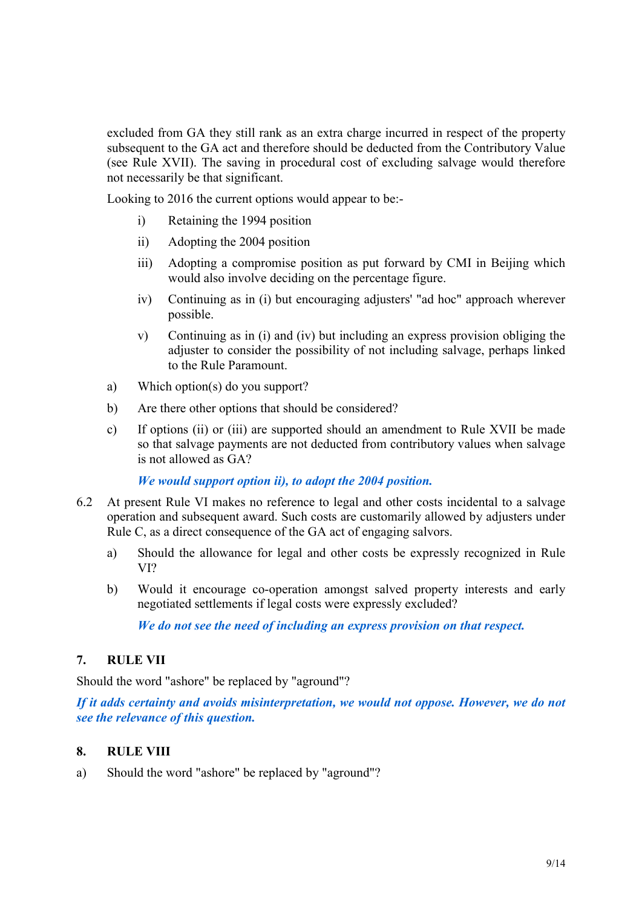excluded from GA they still rank as an extra charge incurred in respect of the property subsequent to the GA act and therefore should be deducted from the Contributory Value (see Rule XVII). The saving in procedural cost of excluding salvage would therefore not necessarily be that significant.

Looking to 2016 the current options would appear to be:-

- i) Retaining the 1994 position
- ii) Adopting the 2004 position
- iii) Adopting a compromise position as put forward by CMI in Beijing which would also involve deciding on the percentage figure.
- iv) Continuing as in (i) but encouraging adjusters' "ad hoc" approach wherever possible.
- v) Continuing as in (i) and (iv) but including an express provision obliging the adjuster to consider the possibility of not including salvage, perhaps linked to the Rule Paramount.
- a) Which option(s) do you support?
- b) Are there other options that should be considered?
- c) If options (ii) or (iii) are supported should an amendment to Rule XVII be made so that salvage payments are not deducted from contributory values when salvage is not allowed as GA?

*We would support option ii), to adopt the 2004 position.*

- 6.2 At present Rule VI makes no reference to legal and other costs incidental to a salvage operation and subsequent award. Such costs are customarily allowed by adjusters under Rule C, as a direct consequence of the GA act of engaging salvors.
	- a) Should the allowance for legal and other costs be expressly recognized in Rule VI?
	- b) Would it encourage co-operation amongst salved property interests and early negotiated settlements if legal costs were expressly excluded?

*We do not see the need of including an express provision on that respect.*

# **7. RULE VII**

Should the word "ashore" be replaced by "aground"?

*If it adds certainty and avoids misinterpretation, we would not oppose. However, we do not see the relevance of this question.*

# **8. RULE VIII**

a) Should the word "ashore" be replaced by "aground"?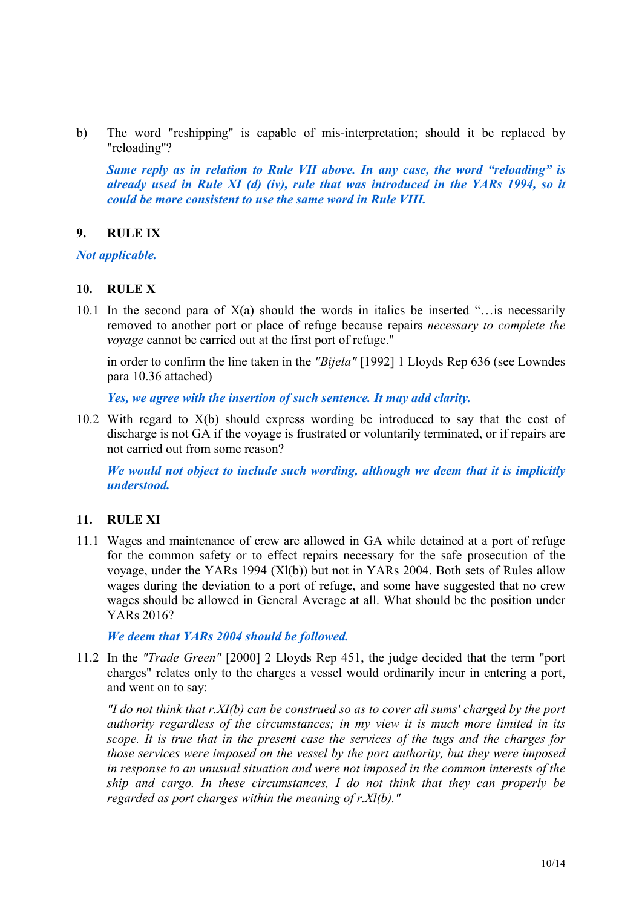b) The word "reshipping" is capable of mis-interpretation; should it be replaced by "reloading"?

*Same reply as in relation to Rule VII above. In any case, the word "reloading" is already used in Rule XI (d) (iv), rule that was introduced in the YARs 1994, so it could be more consistent to use the same word in Rule VIII.*

### **9. RULE IX**

*Not applicable.*

#### **10. RULE X**

10.1 In the second para of  $X(a)$  should the words in italics be inserted "... is necessarily removed to another port or place of refuge because repairs *necessary to complete the voyage* cannot be carried out at the first port of refuge."

in order to confirm the line taken in the *"Bijela"* [1992] 1 Lloyds Rep 636 (see Lowndes para 10.36 attached)

*Yes, we agree with the insertion of such sentence. It may add clarity.*

10.2 With regard to X(b) should express wording be introduced to say that the cost of discharge is not GA if the voyage is frustrated or voluntarily terminated, or if repairs are not carried out from some reason?

*We would not object to include such wording, although we deem that it is implicitly understood.* 

# **11. RULE XI**

11.1 Wages and maintenance of crew are allowed in GA while detained at a port of refuge for the common safety or to effect repairs necessary for the safe prosecution of the voyage, under the YARs 1994 (Xl(b)) but not in YARs 2004. Both sets of Rules allow wages during the deviation to a port of refuge, and some have suggested that no crew wages should be allowed in General Average at all. What should be the position under YARs 2016?

#### *We deem that YARs 2004 should be followed.*

11.2 In the *"Trade Green"* [2000] 2 Lloyds Rep 451, the judge decided that the term "port charges" relates only to the charges a vessel would ordinarily incur in entering a port, and went on to say:

*"I do not think that r.XI(b) can be construed so as to cover all sums' charged by the port authority regardless of the circumstances; in my view it is much more limited in its scope. It is true that in the present case the services of the tugs and the charges for those services were imposed on the vessel by the port authority, but they were imposed in response to an unusual situation and were not imposed in the common interests of the ship and cargo. In these circumstances, I do not think that they can properly be regarded as port charges within the meaning of r.Xl(b)."*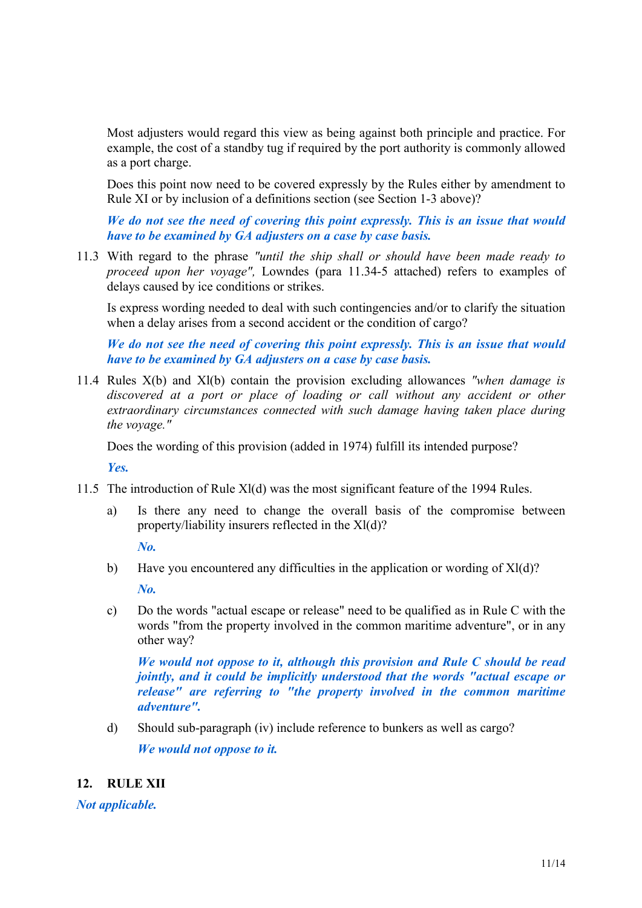Most adjusters would regard this view as being against both principle and practice. For example, the cost of a standby tug if required by the port authority is commonly allowed as a port charge.

Does this point now need to be covered expressly by the Rules either by amendment to Rule XI or by inclusion of a definitions section (see Section 1-3 above)?

*We do not see the need of covering this point expressly. This is an issue that would have to be examined by GA adjusters on a case by case basis.*

11.3 With regard to the phrase *"until the ship shall or should have been made ready to proceed upon her voyage",* Lowndes (para 11.34-5 attached) refers to examples of delays caused by ice conditions or strikes.

Is express wording needed to deal with such contingencies and/or to clarify the situation when a delay arises from a second accident or the condition of cargo?

*We do not see the need of covering this point expressly. This is an issue that would have to be examined by GA adjusters on a case by case basis.*

11.4 Rules X(b) and Xl(b) contain the provision excluding allowances *"when damage is discovered at a port or place of loading or call without any accident or other extraordinary circumstances connected with such damage having taken place during the voyage."*

Does the wording of this provision (added in 1974) fulfill its intended purpose?

*Yes.*

- 11.5 The introduction of Rule Xl(d) was the most significant feature of the 1994 Rules.
	- a) Is there any need to change the overall basis of the compromise between property/liability insurers reflected in the Xl(d)?

*No.*

- b) Have you encountered any difficulties in the application or wording of Xl(d)? *No.*
- c) Do the words "actual escape or release" need to be qualified as in Rule C with the words "from the property involved in the common maritime adventure", or in any other way?

*We would not oppose to it, although this provision and Rule C should be read jointly, and it could be implicitly understood that the words "actual escape or release" are referring to "the property involved in the common maritime adventure".*

d) Should sub-paragraph (iv) include reference to bunkers as well as cargo?

*We would not oppose to it.*

# **12. RULE XII**

*Not applicable.*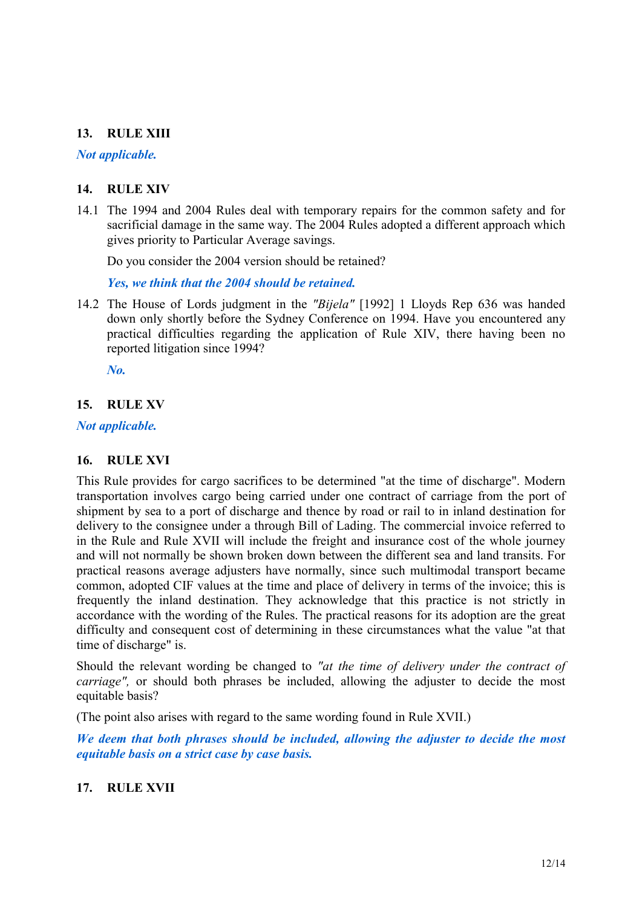# **13. RULE XIII**

# *Not applicable.*

# **14. RULE XIV**

14.1 The 1994 and 2004 Rules deal with temporary repairs for the common safety and for sacrificial damage in the same way. The 2004 Rules adopted a different approach which gives priority to Particular Average savings.

Do you consider the 2004 version should be retained?

*Yes, we think that the 2004 should be retained.*

14.2 The House of Lords judgment in the *"Bijela"* [1992] 1 Lloyds Rep 636 was handed down only shortly before the Sydney Conference on 1994. Have you encountered any practical difficulties regarding the application of Rule XIV, there having been no reported litigation since 1994?

*No.*

# **15. RULE XV**

# *Not applicable.*

# **16. RULE XVI**

This Rule provides for cargo sacrifices to be determined "at the time of discharge". Modern transportation involves cargo being carried under one contract of carriage from the port of shipment by sea to a port of discharge and thence by road or rail to in inland destination for delivery to the consignee under a through Bill of Lading. The commercial invoice referred to in the Rule and Rule XVII will include the freight and insurance cost of the whole journey and will not normally be shown broken down between the different sea and land transits. For practical reasons average adjusters have normally, since such multimodal transport became common, adopted CIF values at the time and place of delivery in terms of the invoice; this is frequently the inland destination. They acknowledge that this practice is not strictly in accordance with the wording of the Rules. The practical reasons for its adoption are the great difficulty and consequent cost of determining in these circumstances what the value "at that time of discharge" is.

Should the relevant wording be changed to *"at the time of delivery under the contract of carriage"*, or should both phrases be included, allowing the adjuster to decide the most equitable basis?

(The point also arises with regard to the same wording found in Rule XVII.)

*We deem that both phrases should be included, allowing the adjuster to decide the most equitable basis on a strict case by case basis.*

# **17. RULE XVII**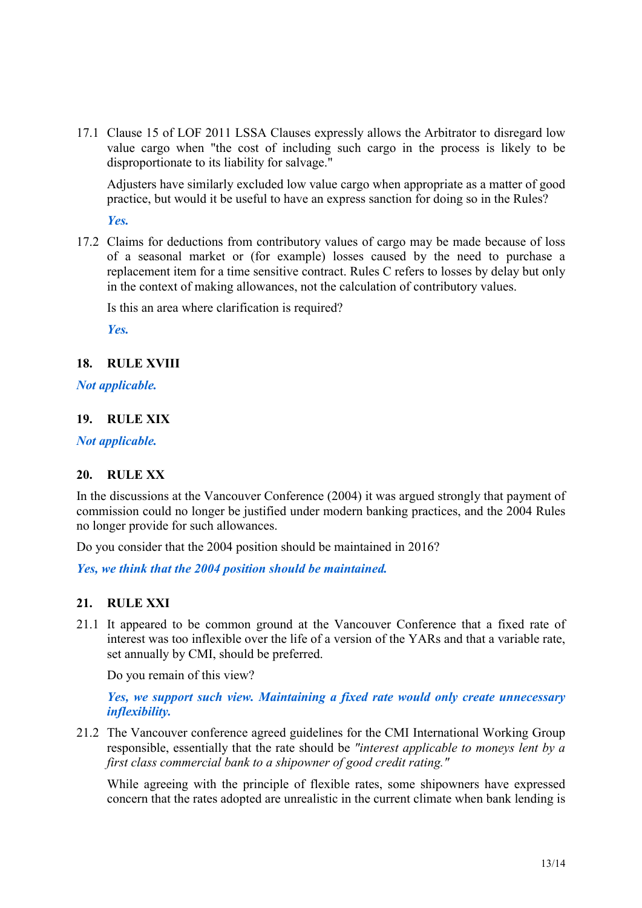17.1 Clause 15 of LOF 2011 LSSA Clauses expressly allows the Arbitrator to disregard low value cargo when "the cost of including such cargo in the process is likely to be disproportionate to its liability for salvage."

Adjusters have similarly excluded low value cargo when appropriate as a matter of good practice, but would it be useful to have an express sanction for doing so in the Rules?

*Yes.*

17.2 Claims for deductions from contributory values of cargo may be made because of loss of a seasonal market or (for example) losses caused by the need to purchase a replacement item for a time sensitive contract. Rules C refers to losses by delay but only in the context of making allowances, not the calculation of contributory values.

Is this an area where clarification is required?

*Yes.*

### **18. RULE XVIII**

### *Not applicable.*

# **19. RULE XIX**

*Not applicable.*

# **20. RULE XX**

In the discussions at the Vancouver Conference (2004) it was argued strongly that payment of commission could no longer be justified under modern banking practices, and the 2004 Rules no longer provide for such allowances.

Do you consider that the 2004 position should be maintained in 2016?

*Yes, we think that the 2004 position should be maintained.* 

# **21. RULE XXI**

21.1 It appeared to be common ground at the Vancouver Conference that a fixed rate of interest was too inflexible over the life of a version of the YARs and that a variable rate, set annually by CMI, should be preferred.

Do you remain of this view?

*Yes, we support such view. Maintaining a fixed rate would only create unnecessary inflexibility.*

21.2 The Vancouver conference agreed guidelines for the CMI International Working Group responsible, essentially that the rate should be *"interest applicable to moneys lent by a first class commercial bank to a shipowner of good credit rating."*

While agreeing with the principle of flexible rates, some shipowners have expressed concern that the rates adopted are unrealistic in the current climate when bank lending is